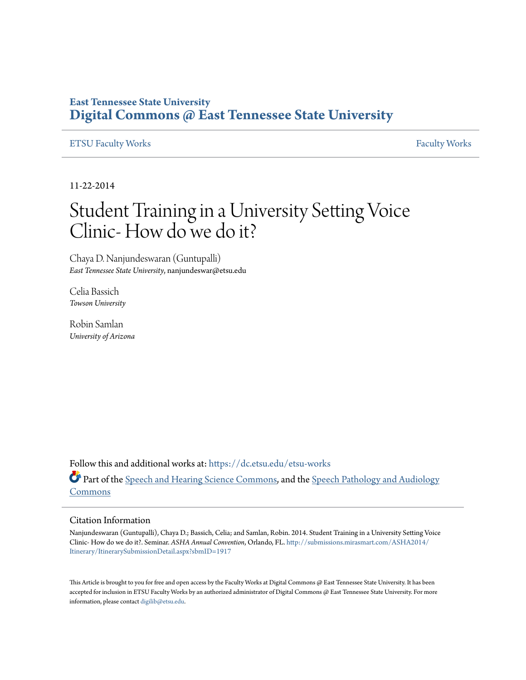#### **East Tennessee State University [Digital Commons @ East Tennessee State University](https://dc.etsu.edu?utm_source=dc.etsu.edu%2Fetsu-works%2F1772&utm_medium=PDF&utm_campaign=PDFCoverPages)**

#### [ETSU Faculty Works](https://dc.etsu.edu/etsu-works?utm_source=dc.etsu.edu%2Fetsu-works%2F1772&utm_medium=PDF&utm_campaign=PDFCoverPages) [Faculty Works](https://dc.etsu.edu/faculty-works?utm_source=dc.etsu.edu%2Fetsu-works%2F1772&utm_medium=PDF&utm_campaign=PDFCoverPages) Faculty Works

11-22-2014

#### Student Training in a University Setting Voice Clinic- How do we do it?

Chaya D. Nanjundeswaran (Guntupalli) *East Tennessee State University*, nanjundeswar@etsu.edu

Celia Bassich *Towson University*

Robin Samlan *University of Arizona*

Follow this and additional works at: [https://dc.etsu.edu/etsu-works](https://dc.etsu.edu/etsu-works?utm_source=dc.etsu.edu%2Fetsu-works%2F1772&utm_medium=PDF&utm_campaign=PDFCoverPages) Part of the [Speech and Hearing Science Commons](http://network.bepress.com/hgg/discipline/1033?utm_source=dc.etsu.edu%2Fetsu-works%2F1772&utm_medium=PDF&utm_campaign=PDFCoverPages), and the [Speech Pathology and Audiology](http://network.bepress.com/hgg/discipline/1035?utm_source=dc.etsu.edu%2Fetsu-works%2F1772&utm_medium=PDF&utm_campaign=PDFCoverPages) [Commons](http://network.bepress.com/hgg/discipline/1035?utm_source=dc.etsu.edu%2Fetsu-works%2F1772&utm_medium=PDF&utm_campaign=PDFCoverPages)

#### Citation Information

Nanjundeswaran (Guntupalli), Chaya D.; Bassich, Celia; and Samlan, Robin. 2014. Student Training in a University Setting Voice Clinic- How do we do it?. Seminar. *ASHA Annual Convention*, Orlando, FL. [http://submissions.mirasmart.com/ASHA2014/](http://submissions.mirasmart.com/ASHA2014/Itinerary/ItinerarySubmissionDetail.aspx?sbmID=1917) [Itinerary/ItinerarySubmissionDetail.aspx?sbmID=1917](http://submissions.mirasmart.com/ASHA2014/Itinerary/ItinerarySubmissionDetail.aspx?sbmID=1917)

This Article is brought to you for free and open access by the Faculty Works at Digital Commons  $\varpi$  East Tennessee State University. It has been accepted for inclusion in ETSU Faculty Works by an authorized administrator of Digital Commons @ East Tennessee State University. For more information, please contact [digilib@etsu.edu.](mailto:digilib@etsu.edu)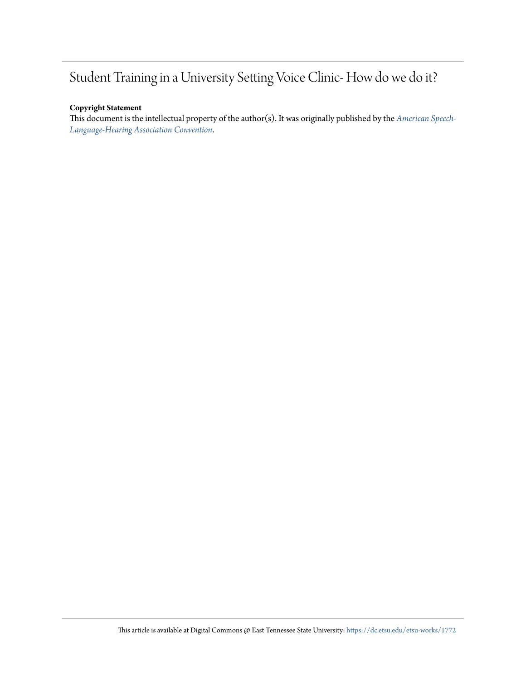#### Student Training in a University Setting Voice Clinic- How do we do it?

#### **Copyright Statement**

This document is the intellectual property of the author(s). It was originally published by the *[American Speech-](http://submissions.mirasmart.com/ASHA2014/Itinerary/ItinerarySubmissionDetail.aspx?sbmID=1917)[Language-Hearing Association Convention](http://submissions.mirasmart.com/ASHA2014/Itinerary/ItinerarySubmissionDetail.aspx?sbmID=1917)*.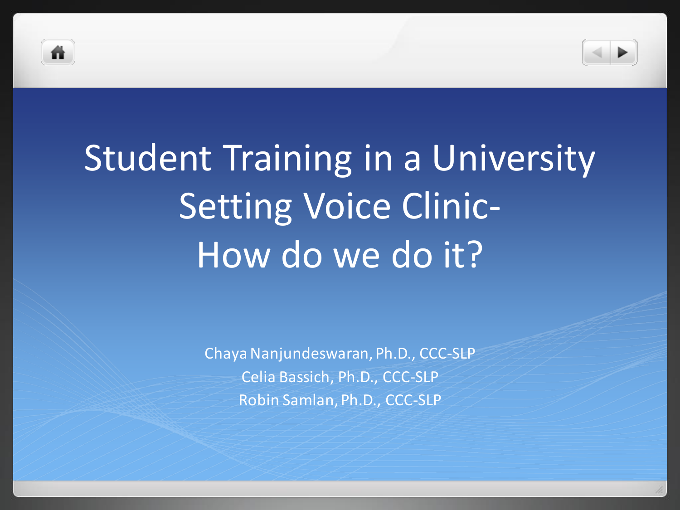



# Student Training in a University Setting Voice Clinic-How do we do it?

Chaya Nanjundeswaran, Ph.D., CCC-SLP Celia Bassich, Ph.D., CCC-SLP Robin Samlan, Ph.D., CCC-SLP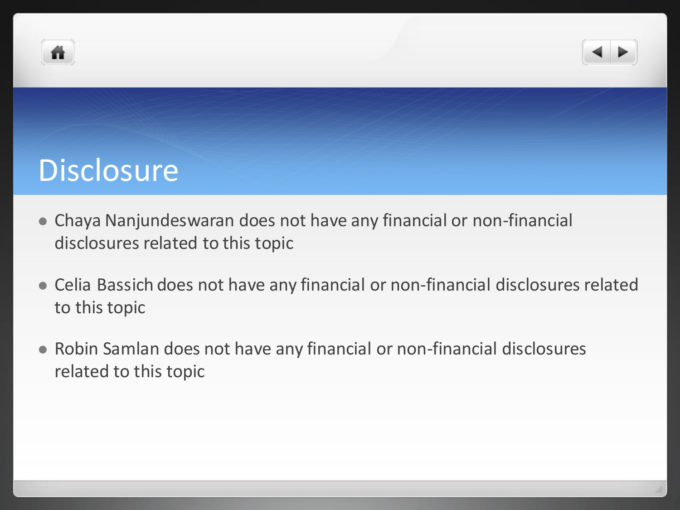



#### **Disclosure**

- Chaya Nanjundeswaran does not have any financial or non-financial disclosures related to this topic
- Celia Bassich does not have any financial or non-financial disclosures related to this topic
- Robin Samlan does not have any financial or non-financial disclosures related to this topic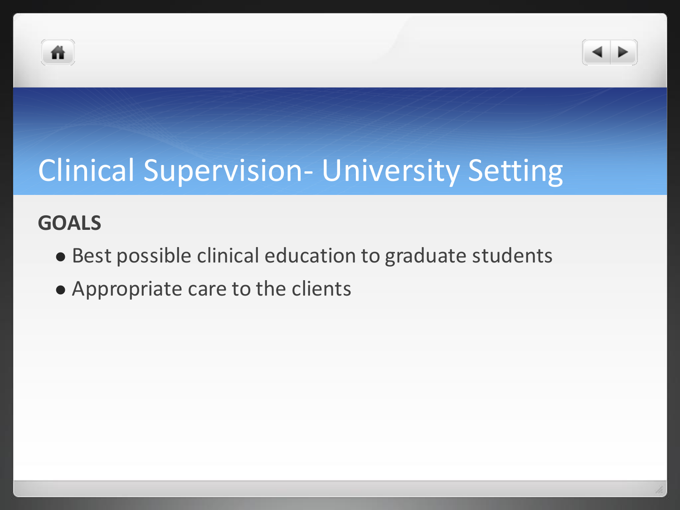



### Clinical Supervision- University Setting

#### **GOALS**

- Best possible clinical education to graduate students
- Appropriate care to the clients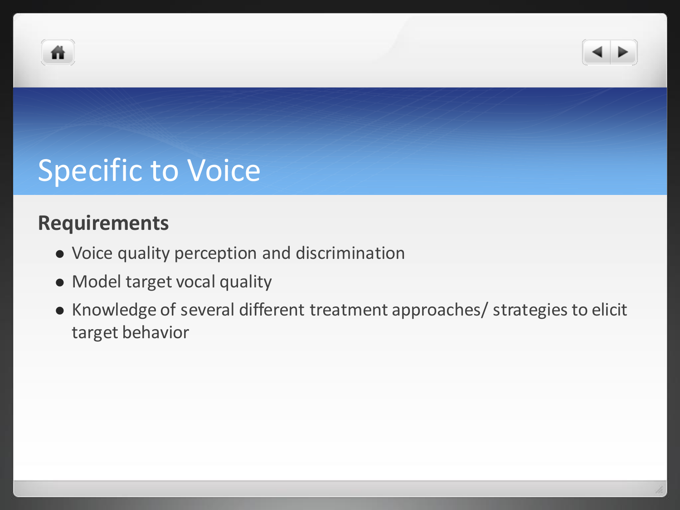



### Specific to Voice

#### **Requirements**

- Voice quality perception and discrimination
- Model target vocal quality
- Knowledge of several different treatment approaches/ strategies to elicit target behavior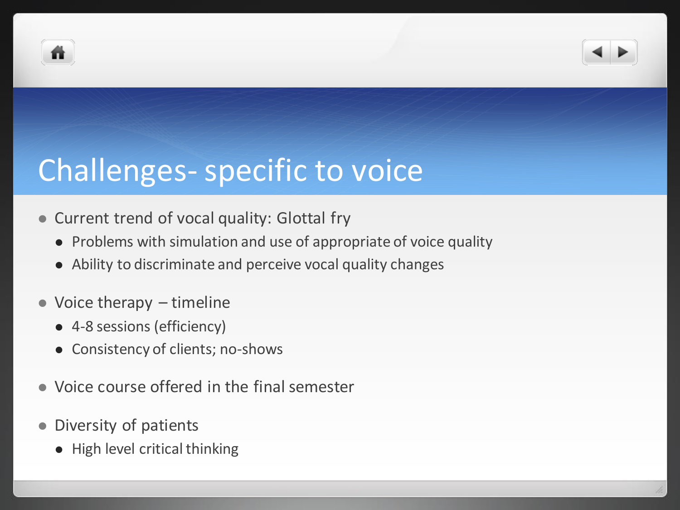



### Challenges-specific to voice

- Current trend of vocal quality: Glottal fry
	- Problems with simulation and use of appropriate of voice quality
	- Ability to discriminate and perceive vocal quality changes
- Voice therapy timeline
	- 4-8 sessions (efficiency)
	- Consistency of clients; no-shows
- Voice course offered in the final semester
- Diversity of patients
	- High level critical thinking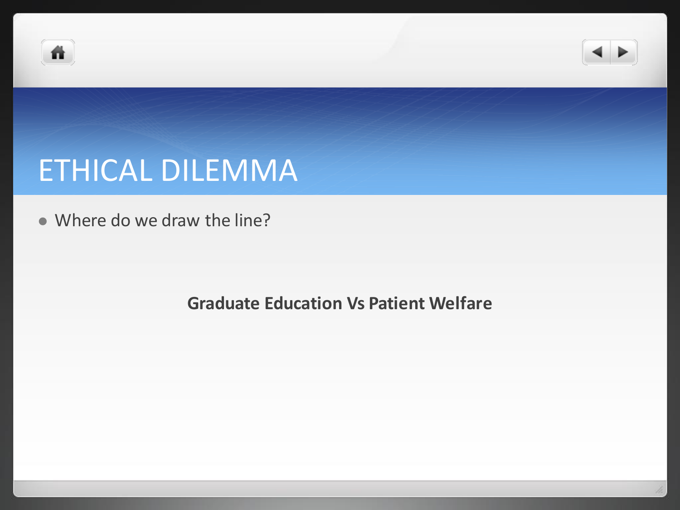



#### ETHICAL DILEMMA

Where do we draw the line?

**Graduate Education Vs Patient Welfare**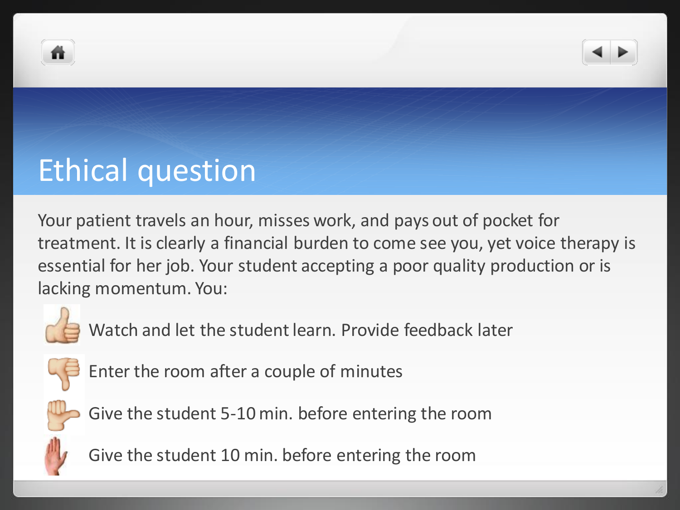



### Ethical question

Your patient travels an hour, misses work, and pays out of pocket for treatment. It is clearly a financial burden to come see you, yet voice therapy is essential for her job. Your student accepting a poor quality production or is lacking momentum. You:



Watch and let the student learn. Provide feedback later



Enter the room after a couple of minutes



Give the student 5-10 min. before entering the room



Give the student 10 min. before entering the room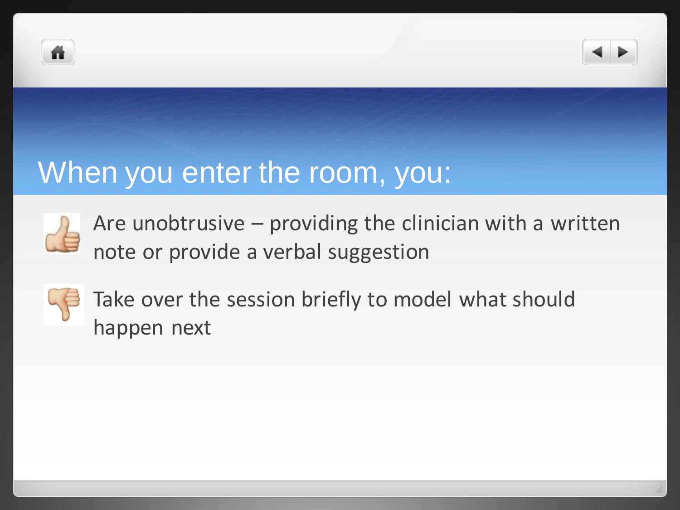



#### When you enter the room, you:



Are unobtrusive – providing the clinician with a written note or provide a verbal suggestion



Take over the session briefly to model what should happen next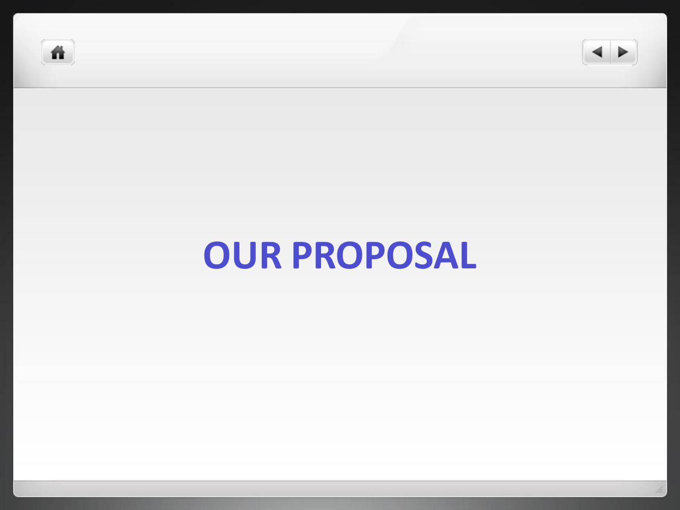



# **OUR PROPOSAL**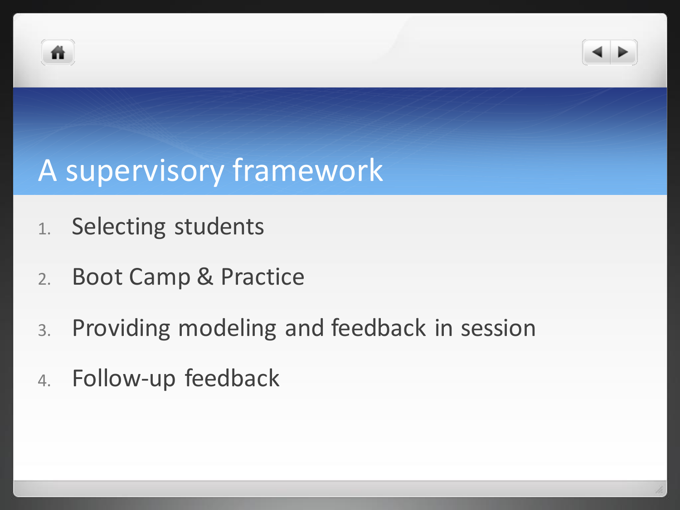



#### A supervisory framework

- 1. Selecting students
- 2. Boot Camp & Practice
- 3. Providing modeling and feedback in session
- 4. Follow-up feedback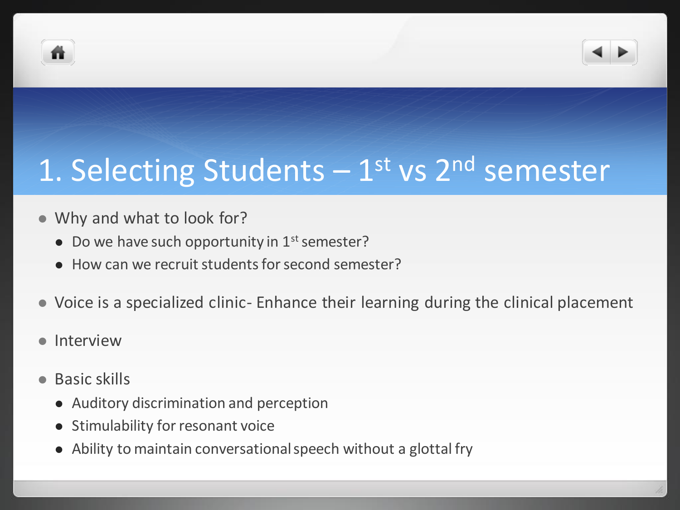



## 1. Selecting Students - 1<sup>st</sup> vs 2<sup>nd</sup> semester

- Why and what to look for?
	- Do we have such opportunity in  $1<sup>st</sup>$  semester?
	- How can we recruit students for second semester?
- Voice is a specialized clinic- Enhance their learning during the clinical placement
- Interview
- Basic skills
	- Auditory discrimination and perception
	- Stimulability for resonant voice
	- Ability to maintain conversational speech without a glottal fry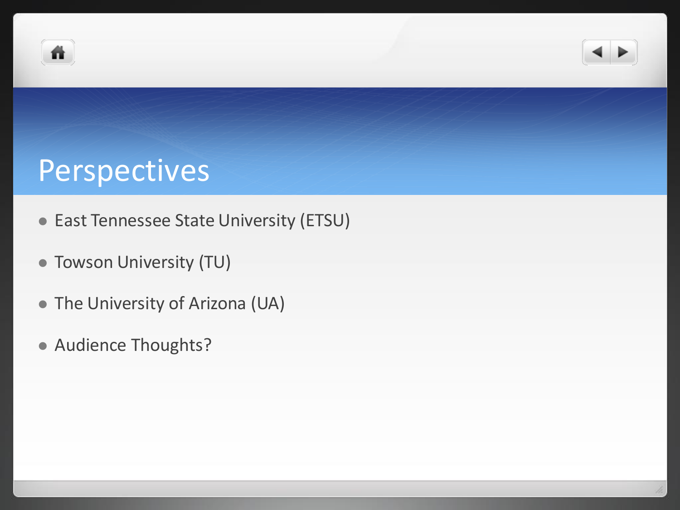



#### Perspectives

- East Tennessee State University (ETSU)
- Towson University (TU)
- The University of Arizona (UA)
- Audience Thoughts?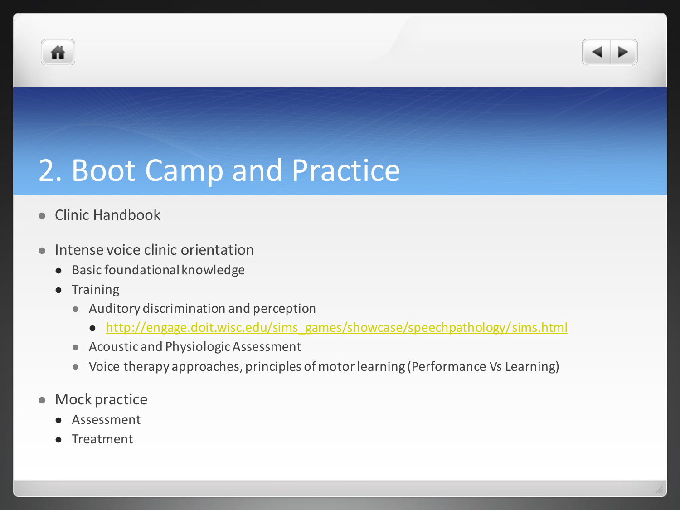



### 2. Boot Camp and Practice

- Clinic Handbook
- **Intense voice clinic orientation** 
	- Basic foundational knowledge
	- Training
		- Auditory discrimination and perception
			- [http://engage.doit.wisc.edu/sims\\_games/showcase/speechpathology/sims.html](http://engage.doit.wisc.edu/sims_games/showcase/speechpathology/sims.html)
		- Acoustic and Physiologic Assessment
		- Voice therapy approaches, principles of motor learning (Performance Vs Learning)
- Mock practice
	- Assessment
	- **•** Treatment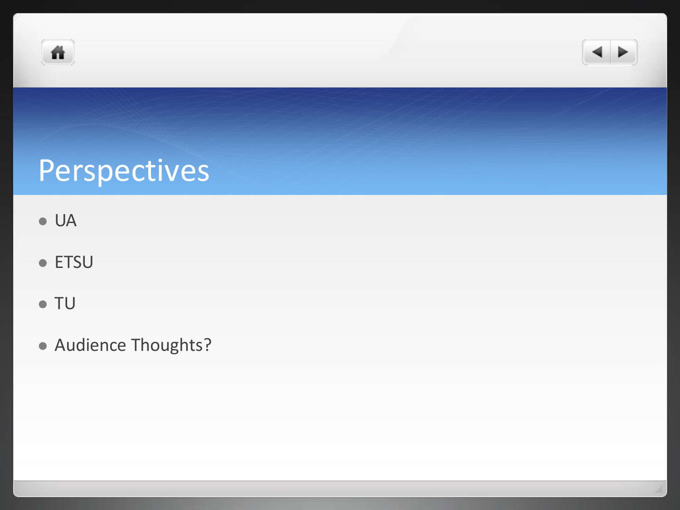



## Perspectives

- UA
- ETSU
- TU
- Audience Thoughts?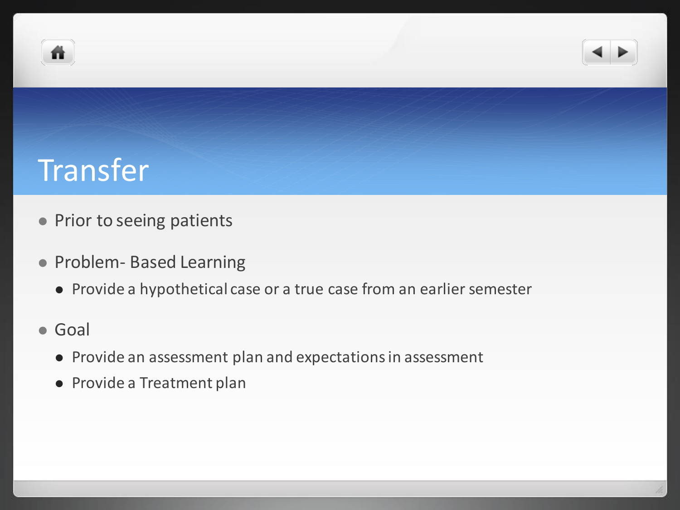



#### **Transfer**

- Prior to seeing patients
- Problem- Based Learning
	- Provide a hypothetical case or a true case from an earlier semester
- Goal
	- Provide an assessment plan and expectations in assessment
	- Provide a Treatment plan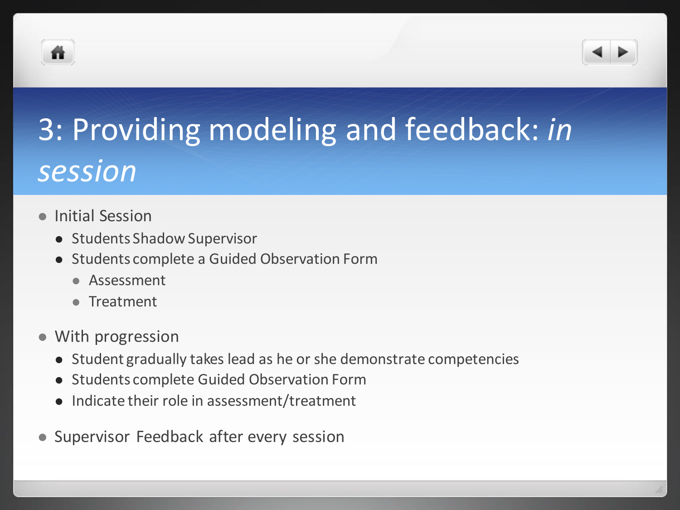



## 3: Providing modeling and feedback: *in session*

- Initial Session
	- Students Shadow Supervisor
	- Students complete a Guided Observation Form
		- **•** Assessment
		- Treatment
- With progression
	- Student gradually takes lead as he or she demonstrate competencies
	- Students complete Guided Observation Form
	- Indicate their role in assessment/treatment
- Supervisor Feedback after every session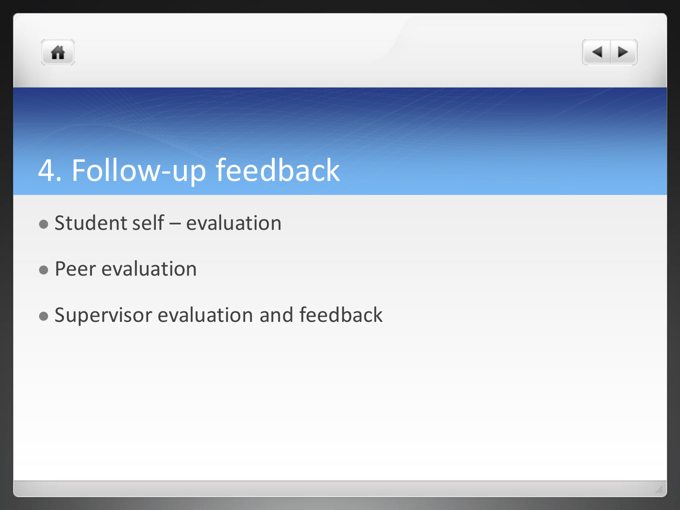



## 4. Follow-up feedback

- Student self evaluation
- **Peer evaluation**
- Supervisor evaluation and feedback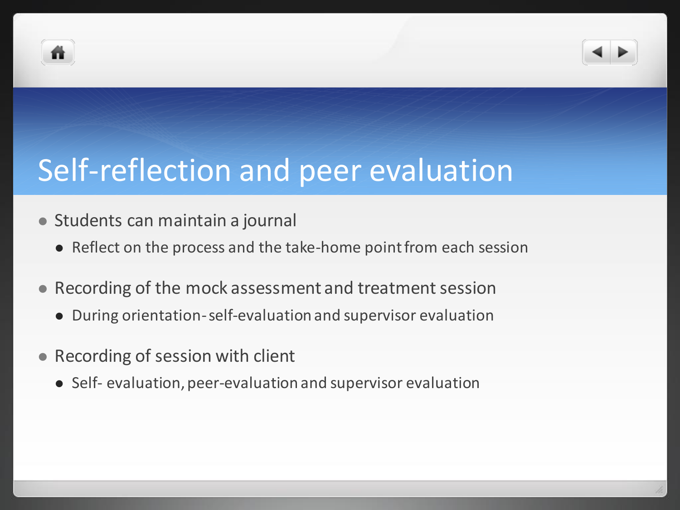



- Students can maintain a journal
	- Reflect on the process and the take-home point from each session
- Recording of the mock assessment and treatment session
	- During orientation-self-evaluation and supervisor evaluation
- Recording of session with client
	- Self- evaluation, peer-evaluation and supervisor evaluation

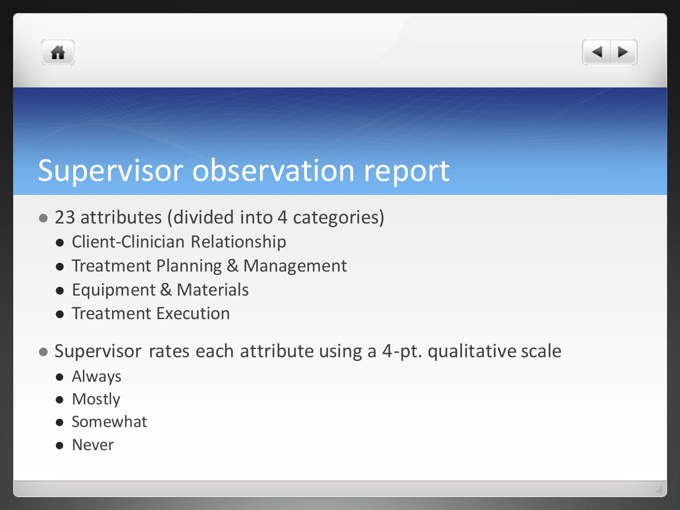



#### Supervisor observation report

- 23 attributes (divided into 4 categories)
	- Client-Clinician Relationship
	- **Treatment Planning & Management**
	- Equipment & Materials
	- **Treatment Execution**
- Supervisor rates each attribute using a 4-pt. qualitative scale
	- Always
	- Mostly
	- **•** Somewhat
	- Never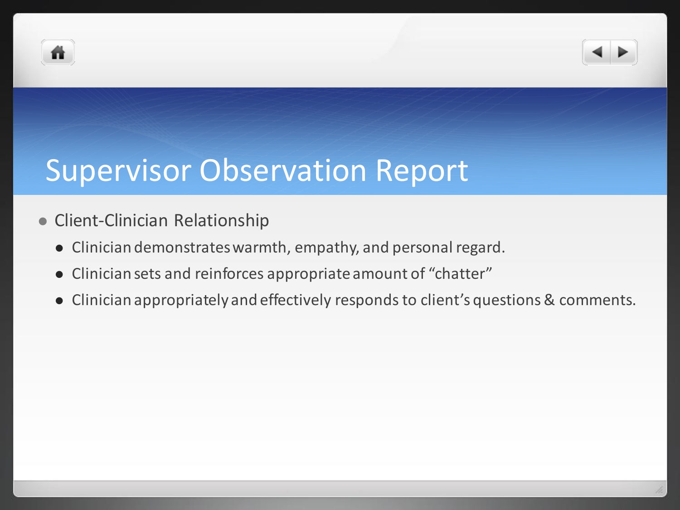



#### Supervisor Observation Report

- **Client-Clinician Relationship** 
	- Clinician demonstrates warmth, empathy, and personal regard.
	- Clinician sets and reinforces appropriate amount of "chatter"
	- Clinician appropriately and effectively responds to client's questions & comments.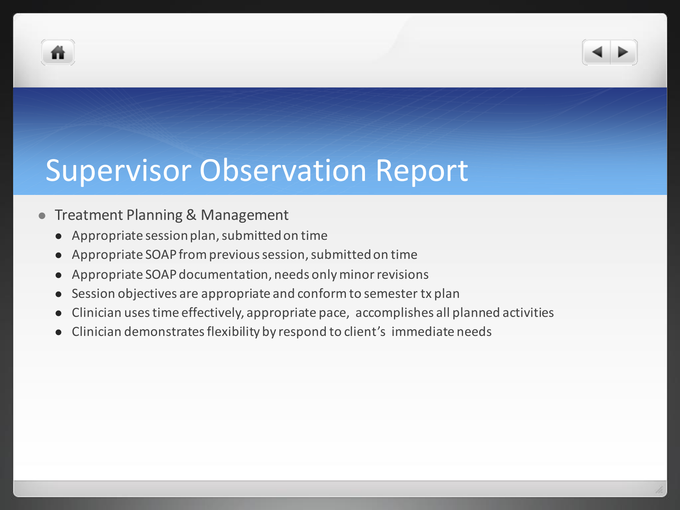



#### **• Treatment Planning & Management**

- Appropriate session plan, submitted on time
- Appropriate SOAP from previous session, submitted on time
- Appropriate SOAP documentation, needs only minor revisions
- Session objectives are appropriate and conform to semester tx plan
- Clinician uses time effectively, appropriate pace, accomplishes all planned activities
- Clinician demonstrates flexibility by respond to client's immediate needs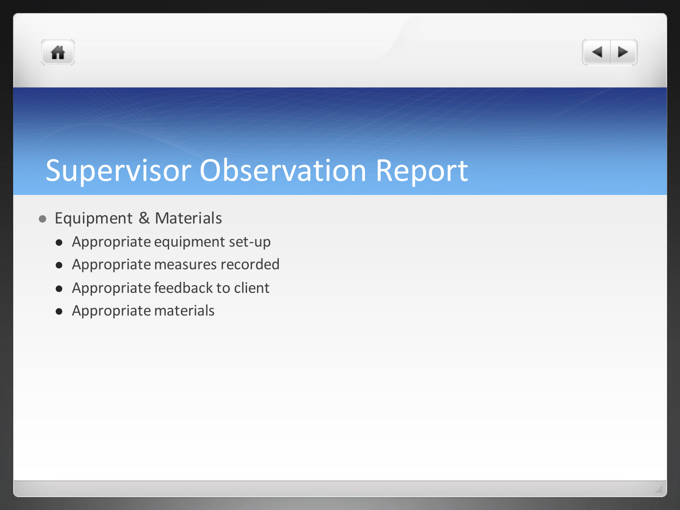



#### Supervisor Observation Report

#### Equipment & Materials

- Appropriate equipment set-up
- Appropriate measures recorded
- Appropriate feedback to client
- Appropriate materials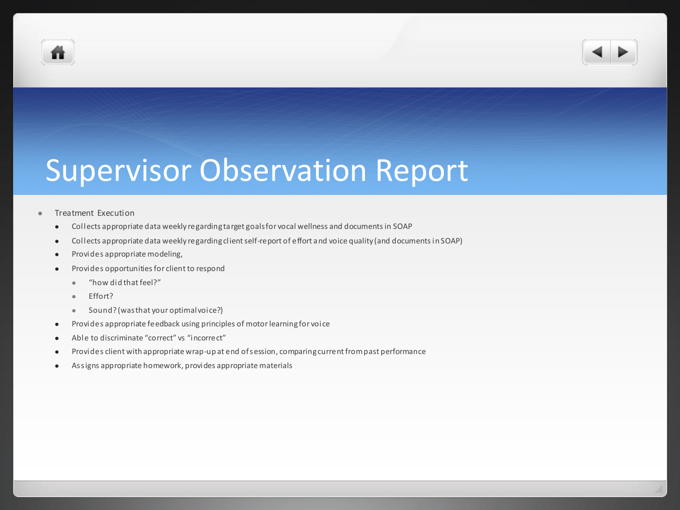



#### Supervisor Observation Report

#### Treatment Execution

- Collects appropriate data weekly regarding target goals for vocal wellness and documents in SOAP
- Collects appropriate data weekly regarding client self-report of effort and voice quality (and documents in SOAP)
- Provides appropriate modeling,
- Provides opportunities for client to respond
	- "how did that feel?"
	- Fffort?
	- Sound? (was that your optimal voice?)
- Provides appropriate feedback using principles of motor learning for voice
- Able to discriminate "correct" vs "incorrect"
- Provides client with appropriate wrap-up at end of session, comparing current from past performance
- Assigns appropriate homework, provides appropriate materials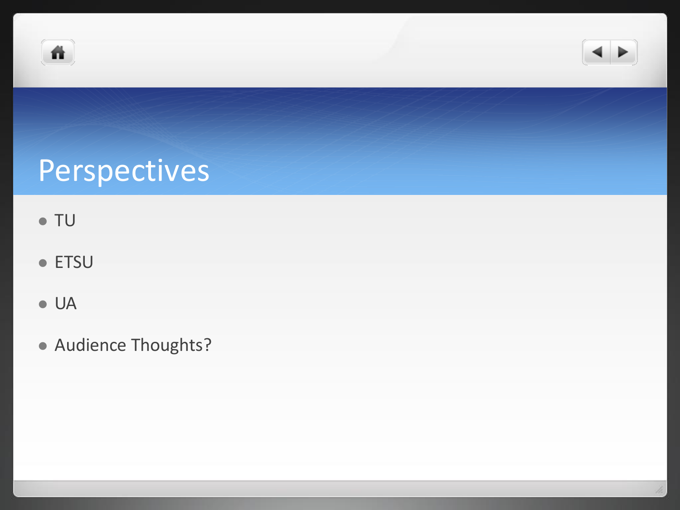



## Perspectives

- TU
- ETSU
- UA
- Audience Thoughts?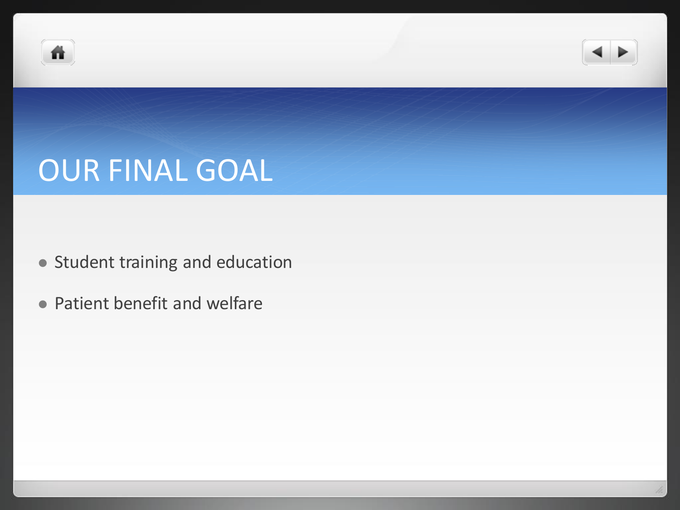



### OUR FINAL GOAL

- Student training and education
- Patient benefit and welfare